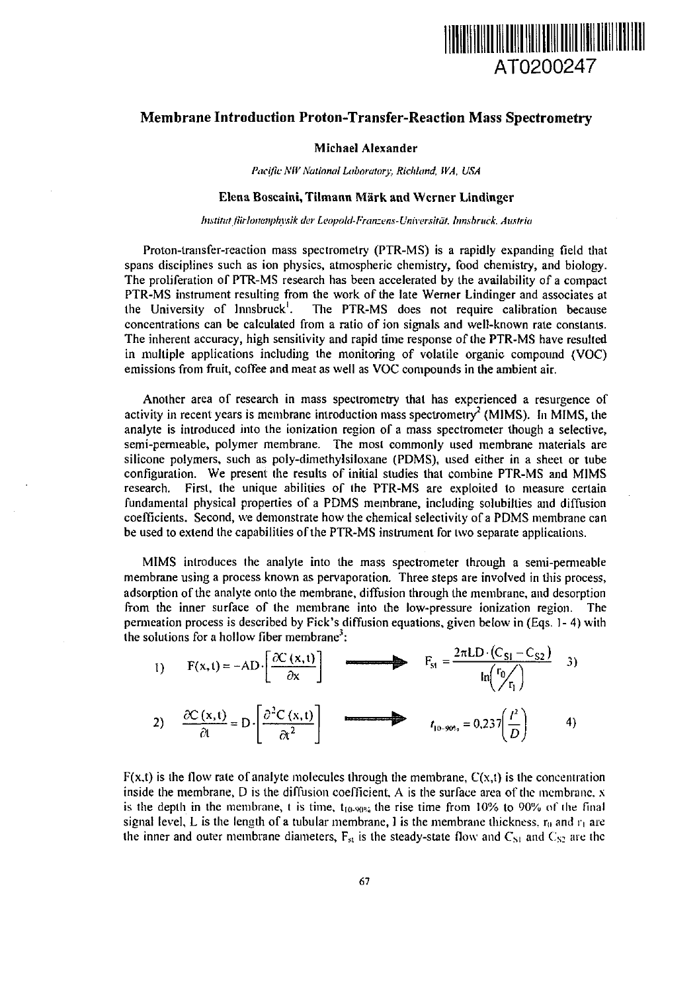

# Membrane Introduction Proton-Transfer-Reaction Mass Spectrometry

## Michael Alexander

*Pacific NW National Laboratory, Ricltkind, WA, USA*

## Elena Boscaini, Tilmann Mark and Werner Lindinger

*Imtirut fiirlonenphysik der LeopaUI-Franzem-Vniversilät. Innsbruck. Austria*

Proton-transfer-reaction mass spectrometry (PTR-MS) is a rapidly expanding field that spans disciplines such as ion physics, atmospheric chemistry, food chemistry, and biology. The proliferation of PTR-MS research has been accelerated by the availability of a compact PTR-MS instrument resulting from the work of the late Werner Lindinger and associates at the University of Innsbruck'. The PTR-MS does not require calibration because concentrations can be calculated from a ratio of ion signals and well-known rate constants. The inherent accuracy, high sensitivity and rapid time response of the PTR-MS have resulted in multiple applications including the monitoring of volatile organic compound (VOC) emissions from fruit, coffee and meat as well as VOC compounds in the ambient air.

Another area of research in mass spectrometry that has experienced a resurgence of activity in recent years is membrane introduction mass spectrometry<sup>2</sup> (MIMS). In MIMS, the analyte is introduced into the ionization region of a mass spectrometer though a selective, semi-permeable, polymer membrane. The most commonly used membrane materials are silicone polymers, such as poly-dimethylsiloxane (PDMS), used either in a sheet or tube configuration. We present the results of initial studies that combine PTR-MS and MIMS research. First, the unique abilities of the PTR-MS are exploited to measure certain fundamental physical properties of a PDMS membrane, including solubilties and diffusion coefficients. Second, we demonstrate how the chemical selectivity of a PDMS membrane can be used to extend the capabilities of the PTR-MS instrument for two separate applications.

MIMS introduces the analyte into the mass spectrometer through a semi-permeable membrane using a process known as pervaporation. Three steps are involved in this process, adsorption of the analyte onto the membrane, diffusion through the membrane, and desorption from the inner surface of the membrane into the low-pressure ionization region. The permeation process is described by Fick's diffusion equations, given below in (Eqs. 1- 4) with the solutions for a hollow fiber membrane<sup>3</sup>:

1) 
$$
F(x,t) = -AD \cdot \left[ \frac{\partial C(x,t)}{\partial x} \right]
$$
  
\n $F_{st} = \frac{2\pi LD \cdot (C_{st} - C_{s2})}{\ln(\frac{r_0}{r_1})}$  3)  
\n2)  $\frac{\partial C(x,t)}{\partial t} = D \cdot \left[ \frac{\partial^2 C(x,t)}{\partial t^2} \right]$   
\n $t_{10-90\%} = 0.237 \left( \frac{t^2}{D} \right)$  4)

 $F(x,t)$  is the flow rate of analyte molecules through the membrane,  $C(x,t)$  is the concentration inside the membrane,  $D$  is the diffusion coefficient,  $A$  is the surface area of the membrane,  $x$ is the depth in the membrane, t is time,  $t_{10.90\%}$  the rise time from 10% to 90% of the final signal level, L is the length of a tubular membrane, I is the membrane thickness,  $r_0$  and  $r_1$  are the inner and outer membrane diameters,  $F_{st}$  is the steady-state flow and  $C_{S1}$  and  $C_{S2}$  are the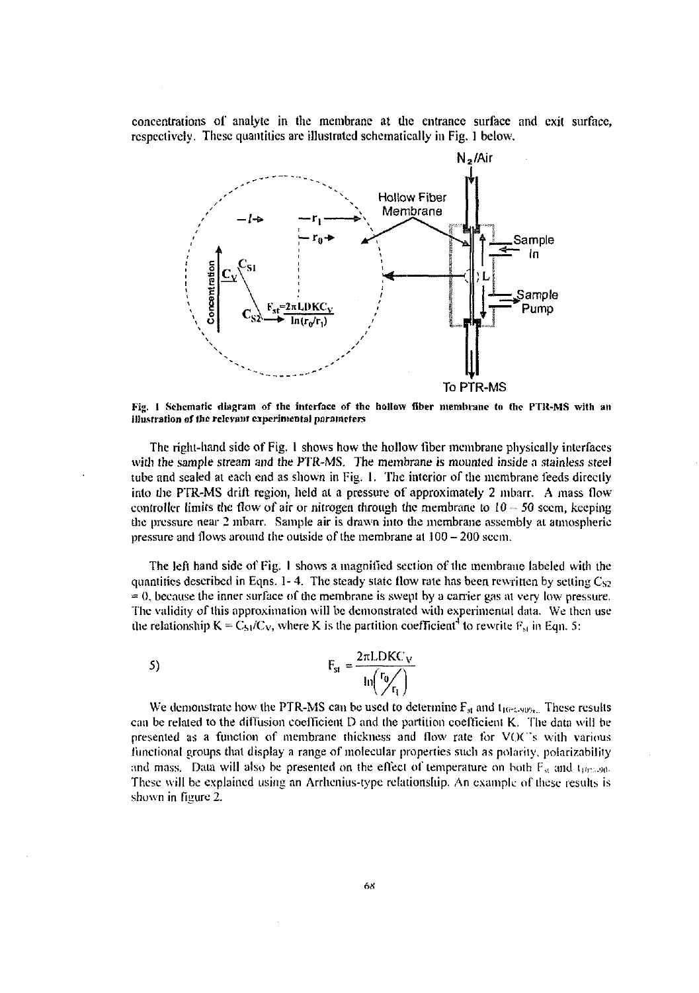concentrations of analyte in the membrane at the entrance surface and exit surface, respectively. These quantities are illustrated schematically in Fig. 1 below.



**Fig. I Schematic diagram of the interface of the hollow fiber membrane to the PTR-MS with an i]Ju.sfration of Ihc relevant experimental parameters**

The right-hand side of Fig. 1 shows how the hollow fiber membrane physically interfaces with the sample stream and the PTR-MS. The membrane is mounted inside a stainless steel tube and sealed at each end as shown in Fig. I. The interior of the membrane feeds directly into the PTR-MS drift region, held at a pressure of approximately 2 mbarr. A mass flow controller limits the flow of air or nitrogen through the membrane to  $10 - 50$  seem, keeping the pressure near 2 mbarr. Sample air is drawn into the membrane assembly at atmospheric pressure and flows around the outside of the membrane at 100 — 200 seem.

The left hand side of Fig. I shows a magnified section of the membrane labeled with the quantities described in Eqns. 1- 4. The steady state flow rate has been rewritten by setting  $C_{S2}$  $= 0$ , because the inner surface of the membrane is swept by a carrier gas at very low pressure. The validity of this approximation will be demonstrated with experimental data. We then use the relationship  $K = C_{51}/C_V$ , where K is the partition coefficient<sup>4</sup> to rewrite  $F_{st}$  in Eqn. 5:

$$
F_{st} = \frac{2\pi L DKC_V}{\ln\left(\frac{r_0}{r_1}\right)}
$$

We demonstrate how the PTR-MS can be used to determine  $F_{\text{at}}$  and  $t_{10^{\circ}4.90^{\circ}t}$ . These results can be related to the diiTusion coelficient D and the partition coefficient *K.* The data will be presented as a function of membrane thickness and flow rate for VOC's with various functional groups that display a range of molecular properties such as polarity, polarizability and mass. Data will also be presented on the effect of temperature on both  $F_{\alpha}$  and  $t_{\text{intra}}$ . These will be explained using an Arrhenius-type relationship. An example nf these results is shown in figure 2.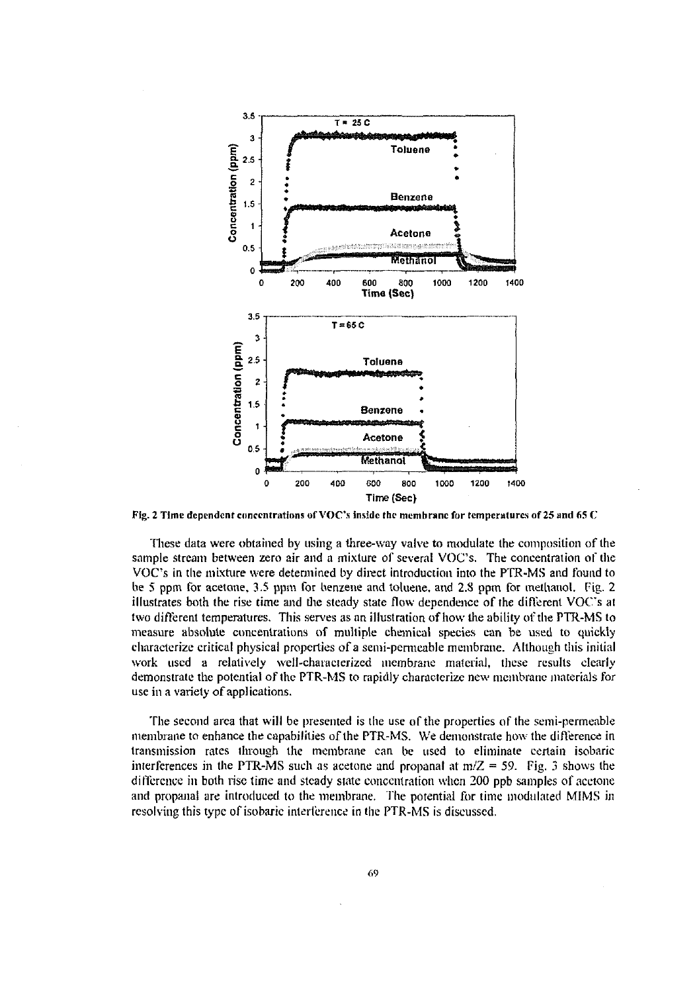

Fig. 2 Time dependent concentrations of VOC's inside the membrane fur temperatures of 25 and *65 C*

These data were obtained by using a three-way valve to modulate the composition of the sample stream between zero air and a mixture of several VOC's. The concentration of the VOC's in the mixture were determined by direct introduction into the PTR-MS and found to be 5 ppm for acetone. 3.5 ppm for benzene and toluene, and 2.S ppm for methanol. Fig. 2 illustrates bolh the rise time and the steady state flow dependence of the different VOC's at two different temperatures. This serves as an illustration of how the ability of the PTR-MS to measure absolute concentrations of multiple chemical species can be used to quickly characterize critical physical properties of a semi-permeable membrane. Although this initial work used a relatively well-characterized membrane material, these results clearly demonstrate the potential of the PTR-MS to rapidly characterize new membrane materials for use in a variety of applications.

The second area that will be presented is the use of the properties of the semi-permeable membrane to enhance the capabilities of the PTR-MS. We demonstrate how the difference in Iransmission rates through the membrane can be used to eliminate certain isobaric interferences in the PTR-MS such as acetone and propanal at  $m/Z = 59$ . Fig. 3 shows the difference in both rise time and steady state concentration when 200 ppb samples of acetone and propanal are introduced to the membrane. The potential for time modulated MIMS in resolving this type of isobaric interference in the PTR-MS is discussed.